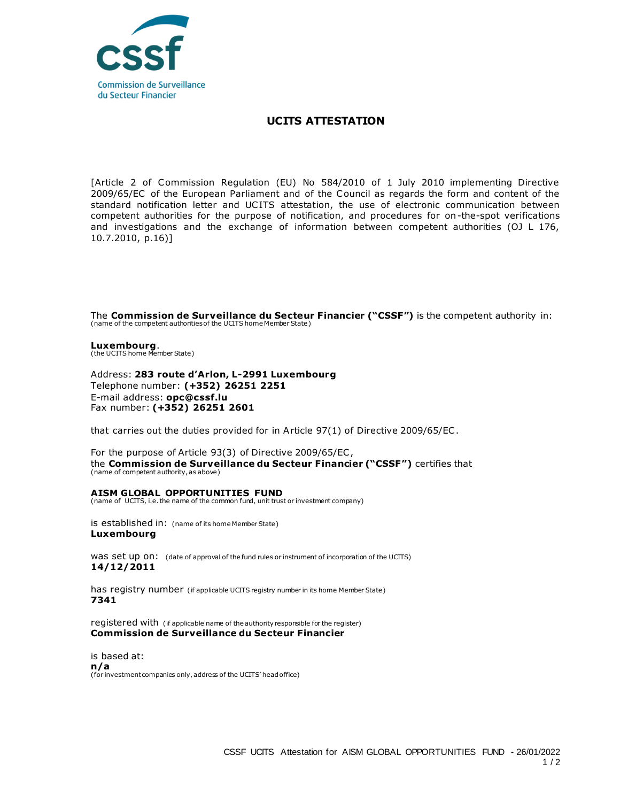

## **UCITS ATTESTATION**

[Article 2 of Commission Regulation (EU) No 584/2010 of 1 July 2010 implementing Directive 2009/65/EC of the European Parliament and of the Council as regards the form and content of the standard notification letter and UCITS attestation, the use of electronic communication between competent authorities for the purpose of notification, and procedures for on-the-spot verifications and investigations and the exchange of information between competent authorities (OJ L 176, 10.7.2010, p.16)]

The **Commission de Surveillance du Secteur Financier ("CSSF")** is the competent authority in: (name of the competent authorities of the UCITS home Member State)

**Luxembourg**. (the UCITS home Member State)

Address: **283 route d'Arlon, L-2991 Luxembourg** Telephone number: **(+352) 26251 2251**  E-mail address: **opc@cssf.lu** Fax number: **(+352) 26251 2601**

that carries out the duties provided for in Article 97(1) of Directive 2009/65/EC .

For the purpose of Article 93(3) of Directive 2009/65/EC , the **Commission de Surveillance du Secteur Financier ("CSSF")** certifies that (name of competent authority, as above)

## **AISM GLOBAL OPPORTUNITIES FUND**

(name of UCITS, i.e. the name of the common fund, unit trust or investment company)

is established in: (name of its home Member State) **Luxembourg**

was set up on: (date of approval of the fund rules or instrument of incorporation of the UCITS) **14/12/2011**

has registry number (if applicable UCITS registry number in its home Member State) **7341**

registered with (if applicable name of the authority responsible for the register) **Commission de Surveillance du Secteur Financier**

is based at: **n/a** (for investment companies only, address of the UCITS' head office)